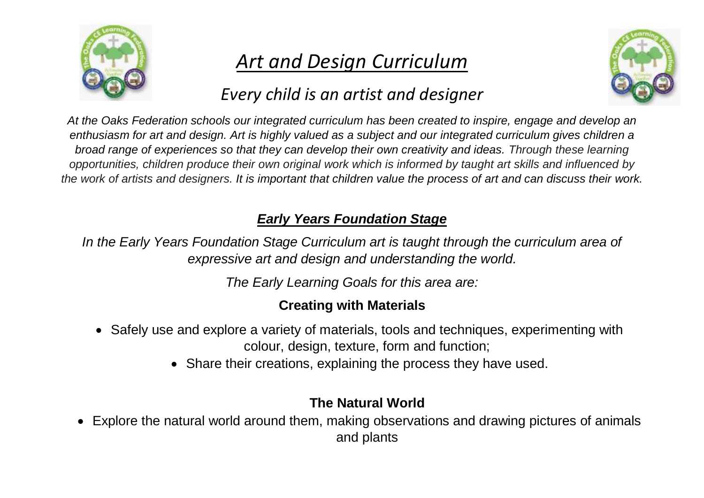

# *Art and Design Curriculum*

# *Every child is an artist and designer*



*At the Oaks Federation schools our integrated curriculum has been created to inspire, engage and develop an enthusiasm for art and design. Art is highly valued as a subject and our integrated curriculum gives children a broad range of experiences so that they can develop their own creativity and ideas. Through these learning opportunities, children produce their own original work which is informed by taught art skills and influenced by the work of artists and designers. It is important that children value the process of art and can discuss their work.*

## *Early Years Foundation Stage*

*In the Early Years Foundation Stage Curriculum art is taught through the curriculum area of expressive art and design and understanding the world.* 

*The Early Learning Goals for this area are:*

## **Creating with Materials**

- Safely use and explore a variety of materials, tools and techniques, experimenting with colour, design, texture, form and function;
	- Share their creations, explaining the process they have used.

### **The Natural World**

 Explore the natural world around them, making observations and drawing pictures of animals and plants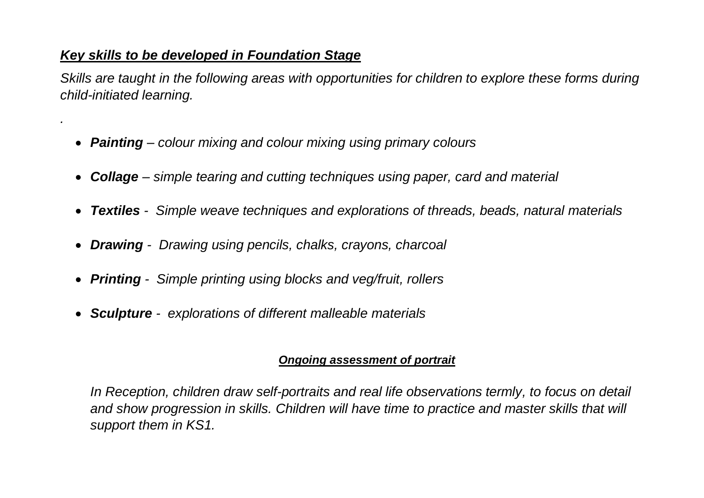### *Key skills to be developed in Foundation Stage*

*.*

*Skills are taught in the following areas with opportunities for children to explore these forms during child-initiated learning.*

- *Painting – colour mixing and colour mixing using primary colours*
- *Collage – simple tearing and cutting techniques using paper, card and material*
- *Textiles Simple weave techniques and explorations of threads, beads, natural materials*
- *Drawing Drawing using pencils, chalks, crayons, charcoal*
- *Printing Simple printing using blocks and veg/fruit, rollers*
- *Sculpture explorations of different malleable materials*

#### *Ongoing assessment of portrait*

*In Reception, children draw self-portraits and real life observations termly, to focus on detail and show progression in skills. Children will have time to practice and master skills that will support them in KS1.*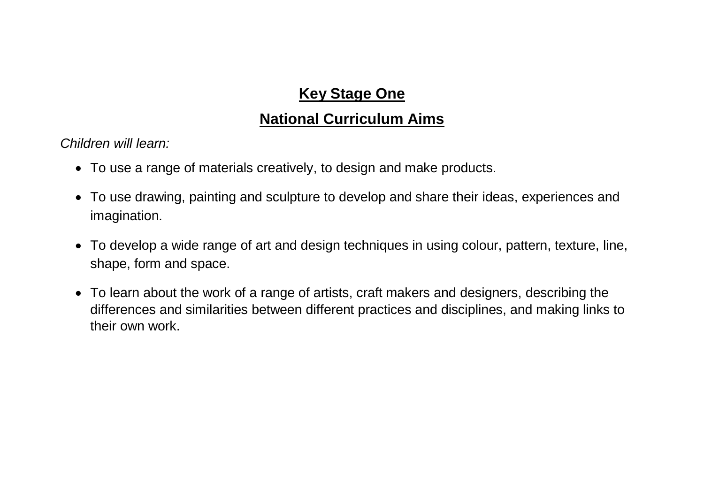# **Key Stage One**

## **National Curriculum Aims**

*Children will learn:*

- To use a range of materials creatively, to design and make products.
- To use drawing, painting and sculpture to develop and share their ideas, experiences and imagination.
- To develop a wide range of art and design techniques in using colour, pattern, texture, line, shape, form and space.
- To learn about the work of a range of artists, craft makers and designers, describing the differences and similarities between different practices and disciplines, and making links to their own work.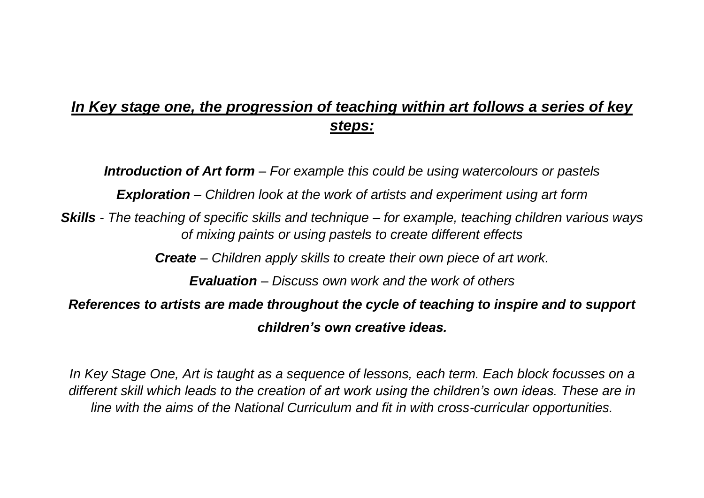# *In Key stage one, the progression of teaching within art follows a series of key steps:*

*Introduction of Art form – For example this could be using watercolours or pastels*

*Exploration – Children look at the work of artists and experiment using art form*

*Skills - The teaching of specific skills and technique – for example, teaching children various ways of mixing paints or using pastels to create different effects*

*Create – Children apply skills to create their own piece of art work.*

*Evaluation – Discuss own work and the work of others*

*References to artists are made throughout the cycle of teaching to inspire and to support children's own creative ideas.*

*In Key Stage One, Art is taught as a sequence of lessons, each term. Each block focusses on a different skill which leads to the creation of art work using the children's own ideas. These are in line with the aims of the National Curriculum and fit in with cross-curricular opportunities.*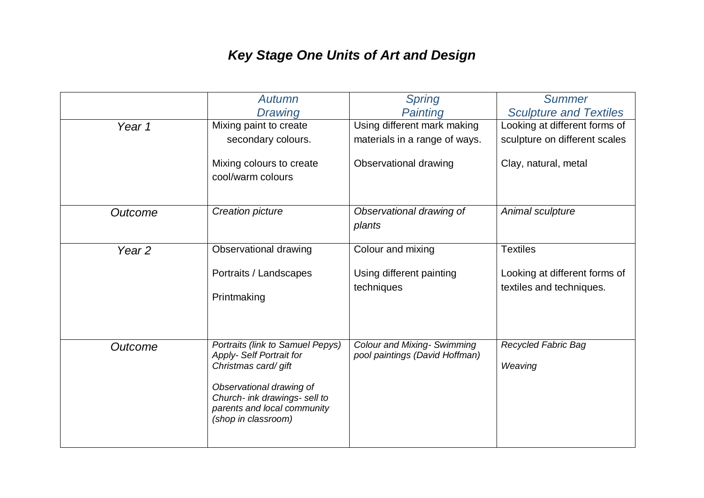# *Key Stage One Units of Art and Design*

|                   | Autumn                                                                                                                                                                                                        | <b>Spring</b>                                                        | <b>Summer</b>                                             |
|-------------------|---------------------------------------------------------------------------------------------------------------------------------------------------------------------------------------------------------------|----------------------------------------------------------------------|-----------------------------------------------------------|
|                   | <b>Drawing</b>                                                                                                                                                                                                | Painting                                                             | <b>Sculpture and Textiles</b>                             |
| Year 1            | Mixing paint to create                                                                                                                                                                                        | Using different mark making                                          | Looking at different forms of                             |
|                   | secondary colours.                                                                                                                                                                                            | materials in a range of ways.                                        | sculpture on different scales                             |
|                   | Mixing colours to create<br>cool/warm colours                                                                                                                                                                 | Observational drawing                                                | Clay, natural, metal                                      |
| Outcome           | Creation picture                                                                                                                                                                                              | Observational drawing of<br>plants                                   | Animal sculpture                                          |
| Year <sub>2</sub> | Observational drawing                                                                                                                                                                                         | Colour and mixing                                                    | <b>Textiles</b>                                           |
|                   | Portraits / Landscapes<br>Printmaking                                                                                                                                                                         | Using different painting<br>techniques                               | Looking at different forms of<br>textiles and techniques. |
| Outcome           | Portraits (link to Samuel Pepys)<br><b>Apply-Self Portrait for</b><br>Christmas card/ gift<br>Observational drawing of<br>Church- ink drawings- sell to<br>parents and local community<br>(shop in classroom) | <b>Colour and Mixing- Swimming</b><br>pool paintings (David Hoffman) | <b>Recycled Fabric Bag</b><br>Weaving                     |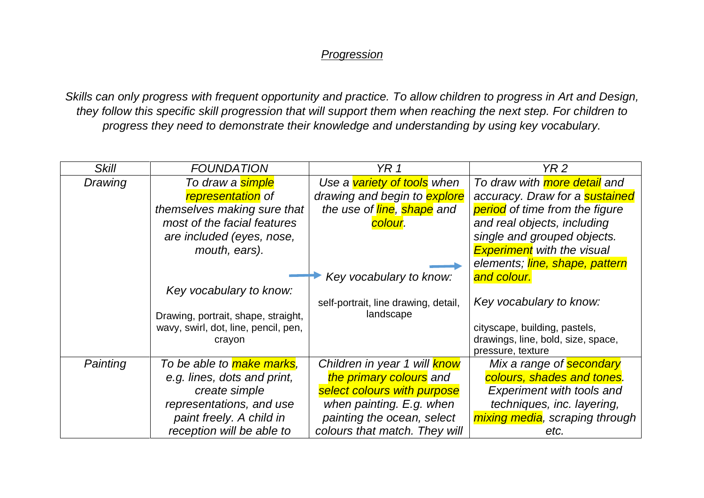#### *Progression*

*Skills can only progress with frequent opportunity and practice. To allow children to progress in Art and Design, they follow this specific skill progression that will support them when reaching the next step. For children to progress they need to demonstrate their knowledge and understanding by using key vocabulary.* 

| <b>Skill</b> | <b>FOUNDATION</b>                    | YR <sub>1</sub>                      | YR 2                                  |
|--------------|--------------------------------------|--------------------------------------|---------------------------------------|
| Drawing      | To draw a <mark>simple</mark>        | Use a variety of tools when          | To draw with more detail and          |
|              | representation of                    | drawing and begin to <b>explore</b>  | accuracy. Draw for a <b>sustained</b> |
|              | themselves making sure that          | the use of line, shape and           | <b>period</b> of time from the figure |
|              | most of the facial features          | <mark>colour</mark> .                | and real objects, including           |
|              | are included (eyes, nose,            |                                      | single and grouped objects.           |
|              | mouth, ears).                        |                                      | <b>Experiment</b> with the visual     |
|              |                                      |                                      | elements; line, shape, pattern        |
|              |                                      | Key vocabulary to know:              | and colour.                           |
|              | Key vocabulary to know:              |                                      |                                       |
|              |                                      | self-portrait, line drawing, detail, | Key vocabulary to know:               |
|              | Drawing, portrait, shape, straight,  | landscape                            |                                       |
|              | wavy, swirl, dot, line, pencil, pen, |                                      | cityscape, building, pastels,         |
|              | crayon                               |                                      | drawings, line, bold, size, space,    |
|              |                                      |                                      | pressure, texture                     |
| Painting     | To be able to make marks,            | Children in year 1 will <b>know</b>  | Mix a range of secondary              |
|              | e.g. lines, dots and print,          | the primary colours and              | colours, shades and tones.            |
|              | create simple                        | select colours with purpose          | <b>Experiment with tools and</b>      |
|              | representations, and use             | when painting. E.g. when             | techniques, inc. layering,            |
|              | paint freely. A child in             | painting the ocean, select           | mixing media, scraping through        |
|              | reception will be able to            | colours that match. They will        | etc.                                  |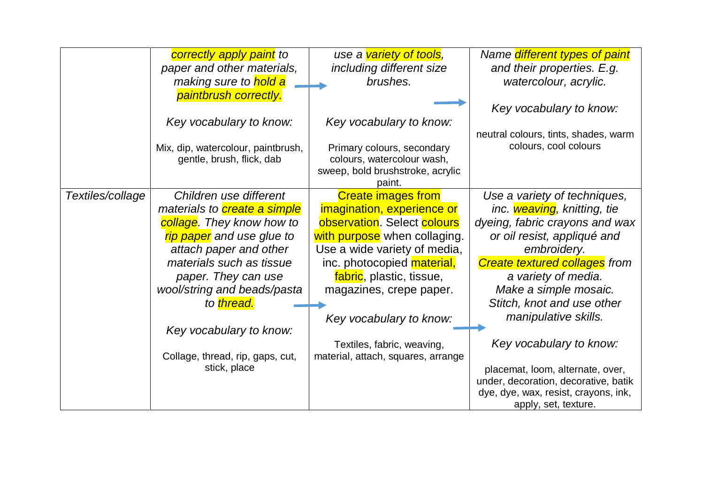|                  | correctly apply paint to            | use a variety of tools,            | Name <i>different types of paint</i> |
|------------------|-------------------------------------|------------------------------------|--------------------------------------|
|                  | paper and other materials,          | including different size           | and their properties. E.g.           |
|                  | making sure to hold a               | brushes.                           | watercolour, acrylic.                |
|                  | paintbrush correctly.               |                                    |                                      |
|                  |                                     |                                    | Key vocabulary to know:              |
|                  | Key vocabulary to know:             | Key vocabulary to know:            |                                      |
|                  |                                     |                                    | neutral colours, tints, shades, warm |
|                  | Mix, dip, watercolour, paintbrush,  | Primary colours, secondary         | colours, cool colours                |
|                  | gentle, brush, flick, dab           | colours, watercolour wash,         |                                      |
|                  |                                     | sweep, bold brushstroke, acrylic   |                                      |
|                  |                                     | paint.                             |                                      |
| Textiles/collage | Children use different              | <b>Create images from</b>          | Use a variety of techniques,         |
|                  | materials to <b>create a simple</b> | imagination, experience or         | inc. weaving, knitting, tie          |
|                  | collage. They know how to           | observation. Select colours        | dyeing, fabric crayons and wax       |
|                  | rip paper and use glue to           | with purpose when collaging.       | or oil resist, appliqué and          |
|                  | attach paper and other              | Use a wide variety of media,       | embroidery.                          |
|                  | materials such as tissue            | inc. photocopied material,         | <b>Create textured collages from</b> |
|                  | paper. They can use                 | fabric, plastic, tissue,           | a variety of media.                  |
|                  | wool/string and beads/pasta         | magazines, crepe paper.            | Make a simple mosaic.                |
|                  | to thread.                          |                                    | Stitch, knot and use other           |
|                  |                                     | Key vocabulary to know:            | manipulative skills.                 |
|                  | Key vocabulary to know:             |                                    |                                      |
|                  |                                     | Textiles, fabric, weaving,         | Key vocabulary to know:              |
|                  | Collage, thread, rip, gaps, cut,    | material, attach, squares, arrange |                                      |
|                  | stick, place                        |                                    | placemat, loom, alternate, over,     |
|                  |                                     |                                    | under, decoration, decorative, batik |
|                  |                                     |                                    | dye, dye, wax, resist, crayons, ink, |
|                  |                                     |                                    | apply, set, texture.                 |